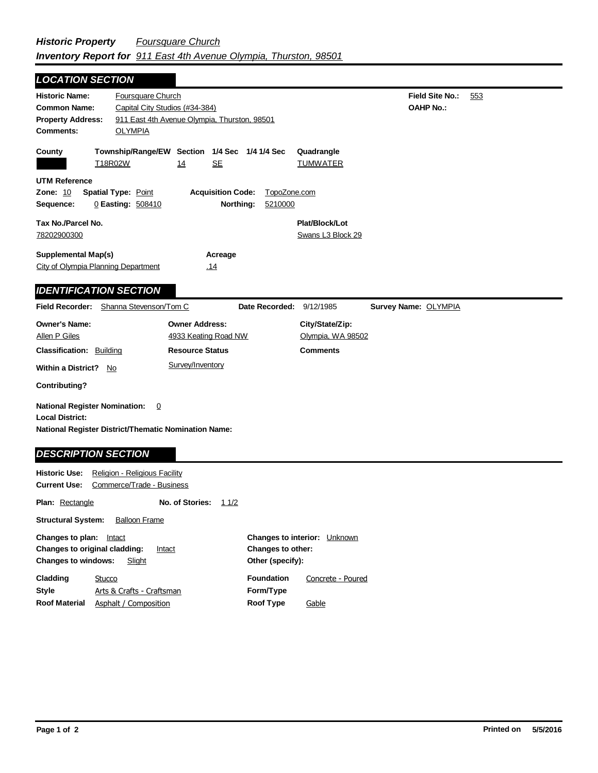## **Field Site No.:** 553 **OAHP No.: Historic Name:** Foursquare Church **Common Name:** Capital City Studios (#34-384) **County Plat/Block/Lot** Swans L3 Block 29 **Acreage** .14 **Supplemental Map(s)** City of Olympia Planning Department **Tax No./Parcel No.** 78202900300 **Property Address:** 911 East 4th Avenue Olympia, Thurston, 98501 *LOCATION SECTION* **Comments:** OLYMPIA **Quadrangle UTM Reference Township/Range/EW Section 1/4 Sec 1/4 1/4 Sec Owner Address:** 4933 Keating Road NW **Field Recorder:** Shanna Stevenson/Tom C **Owner's Name:** Allen P Giles **City/State/Zip:** Olympia, WA 98502 **National Register District/Thematic Nomination Name: Local District: Date Recorded:** 9/12/1985 **Classification:** Building **Within a District?** No **Contributing? Comments National Register Nomination:** 0 **Plan:** Rectangle **Historic Use:** Religion - Religious Facility **Current Use:** Commerce/Trade - Business **No. of Stories:** 11/2 **Resource Status Survey Name:** OLYMPIA *IDENTIFICATION SECTION DESCRIPTION SECTION* T18R02W 14 SE TUMWATER **Zone:** 10 **Spatial Type:** Point **Acquisition Code:** TopoZone.com **Sequence:** 0 **Easting:** 508410 **Northing:** 5210000 Survey/Inventory

**Other (specify): Style Structural System:** Balloon Frame **Changes to plan:** Intact **Changes to original cladding: Intact Changes to windows:** Slight **Changes to interior:** Unknown **Changes to other: Cladding Roof Material Foundation Form/Type Roof Type** Arts & Crafts - Craftsman **Stucco** Asphalt / Composition Concrete - Poured **Gable**